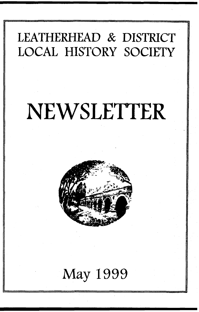# **LEATHERHEAD & DISTRICT LOCAL HISTORY SOCIETY**

# **NEWSLETTER**



# **May 1999**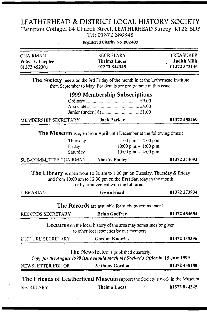#### **LEATHERHEAD & DISTRICT LOCAL HISTORY SOCIETY Hampton Cottage, 64 Church Street, LEATHERHEAD Surrey KT22 8DP Tel: 01372 386348**

Registered Charity No. 802409

| 01372 452301              | 01372844345      |                     |
|---------------------------|------------------|---------------------|
|                           |                  | 01372372146         |
| Peter $\Lambda$ . Tarplee | Thelma Lucas     | <b>Judith Mills</b> |
| <b>CHAIRMAN</b>           | <b>SECRETARY</b> | <b>TREASURER</b>    |
|                           |                  |                     |

The Society meets on the 3rd Friday of the month in at the Letherhead Institute from September to May. For details see programme in this issue.

| 1999 Membership Subscriptions |  |  |  |  |
|-------------------------------|--|--|--|--|
|                               |  |  |  |  |
|                               |  |  |  |  |
|                               |  |  |  |  |

| MEMBERSHIP SECRETARY | Jack Barker | 01372 458469 |
|----------------------|-------------|--------------|
|                      |             |              |

The Museum is open from April until December at the following times:

| Thursday                      | 1:00 p.m. $-4:00$ p.m.        |             |
|-------------------------------|-------------------------------|-------------|
| Friday                        | $10:00$ p.m. $\sim 1:00$ p.m. |             |
| Saturday                      | 10:00 p.m. $-$ 4:00 p.m.      |             |
| <b>SUB-COMMITTEE CHAIRMAN</b> | Alan V. Pooley                | 01372374093 |

The Library is open from 10:30 am to 1:00 pm on Tuesday, Thursday & Friday and from 10:00 am to 12:30 pm on the **first** Saturday in the month or by arrangement with the Librarian.

| LIBRARIAN         | Gwen Hoad                                                                                                                  | 01372 273934 |
|-------------------|----------------------------------------------------------------------------------------------------------------------------|--------------|
|                   | The Records are available for study by arrangement.                                                                        |              |
| RECORDS SECRETARY | <b>Brian Godfrey</b>                                                                                                       | 01372 454654 |
|                   | <b>Lectures</b> on the local history of the area may sometimes be given<br>to other local societies by our members.        |              |
| LECTURE SECRETARY | <b>Gordon Knowles</b>                                                                                                      | 01372 458396 |
|                   | The Newsletter is published quarterly.<br>Copy for the August 1999 issue should reach the Society's Office by 15 July 1999 |              |
| NEWSLETTER EDITOR | Anthony Gordon                                                                                                             | 01372 458180 |
|                   | The Friends of Leatherhead Museum support the Society's work in the Museum                                                 |              |
| <b>SECRETARY</b>  | Thelma Lucas                                                                                                               | 01372 844345 |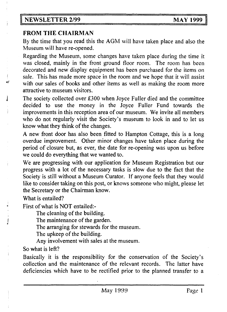#### FROM THE CHAIRMAN

**By the time that you read this the AGM will have taken place and also the Museum will have re-opened.**

**Regarding the Museum, some changes have taken place during the time it was closed, mainly in the front ground floor room. The room has been decorated and new display equipment has been purchased for the items on ' sale. This has made more space in the room and we hope that it will assist** with our sales of books and other items as well as making the room more **attractive to museum visitors,**

The society collected over £300 when Joyce Fuller died and the committee **decided to use the money in the Joyce Fuller Fund towards the improvements in this reception area of our museum. We invite all members who do not regularly visit the Society's museum to look in and to let us know what they think of the changes.**

**A new front door has also been fitted to Hampton Cottage, this is a long overdue improvement. Other minor changes have taken place during the period of closure but, as ever, the date for re-opening was upon us before we could do everything that we wanted to.**

**We are progressing with our application for Museum Registration but our progress with a lot of the necessary tasks is slow due to the fact that the Society is still without a Museum Curator. If anyone feels that they would like to consider taking on this post, or knows someone who might, please let the Secretary or the Chairman know.**

**What is entailed?**

**First of what is NOT entailed:-**

**The cleaning of the building.**

**I The maintenance of the garden.**

**The arranging for stewards for the museum.**

**The upkeep of the building.**

**Any involvement with sales at the museum.**

**So what is left?**

**Basically it is the responsibility for the conservation of the Society's collection and the maintenance of the relevant records. The latter have deficiencies which have to be rectified prior to the planned transfer to a**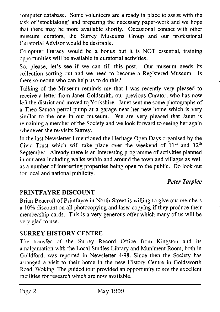**computer database. Some volunteers are already in place to assist with the task of 'stocktaking' and preparing the necessary paper-work and we hope that there may be more available shortly. Occasional contact with other museum curators, the Surrey Museums Group and our professional Curatorial Advisor would be desirable.**

**Computer literacy would be a bonus but it is NOT essential, training opportunities will be available in curatorial activities.**

**So, please, let's see if we can fill this post. Our museum needs its collection sorting out and we need to become a Registered Museum. Is there someone who can help us to do this?**

**Talking of the Museum reminds me that I was recently very pleased to receive a letter from Janet Goldsmith, our previous Curator, who has now left the district and moved to Yorkshire. Janet sent me some photographs of a Theo-Samoa petrol pump at a garage near her new home which is very similar to the one in our museum. We are very pleased that Janet is remaining a member of the Society and we look forward to seeing her again whenever she re-visits Surrey.**

**In the last Newsletter I mentioned the Heritage Open Days organised by the** Civic Trust which will take place over the weekend of 11<sup>th</sup> and 12<sup>th</sup> **September. Already there is an interesting programme of activities planned in our area including walks within and around the town and villages as well as a number of interesting properties being open to the public. Do look out for local and national publicity.**

#### *Peter Tarplee*

# PRINTFAYRE DISCOUNT

**Brian Beacroft of Printfayre in North Street is willing to give our members a 10% discount on all photocopying and laser copying if they produce their membership cards. This is a very generous offer which many of us will be very glad to use.**

# SURREY HISTORY CENTRE

**The transfer of the Surrey Record Office from Kingston and its amalgamation with the Local Studies Library and Muniment Room, both in Guildford, was reported in Newsletter 4/98. Since then the Society has arranged a visit to their home in the new History Centre in Goldsworth Road, Woking. The guided tour provided an opportunity to see the excellent facilities for research which are now available.**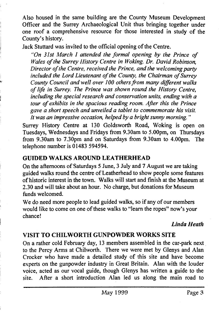**Also housed in the same building are the County Museum Development | Officer and the Surrey Archaeological Unit thus bringing together under ! one roof a comprehensive resource for those interested in study of the County's history.**

**Jack Stuttard was invited to the official opening of the Centre.**

; *"On 31st March 1 attended the formal opening by the Prince of Wales of the Surrey History Centre in Woking. Dr. David Robinson. Director of the Centre, received the Prince, and the welcoming party included the Lord Lieutenant of the County, the Chairman of Surrey " County Council and well over 100 others from many different walks of life in Surrey. The Prince was shown round the History Centre,* including the special research and conservation units, ending with a *tour of exhibits in the spacious reading room. After this the Prince gave a short speech and unveiled a tablet to commemorate his visit. It was an impressive occasion, helped by a bright sunny morning. "*

**Surrey History Centre at 130 Goldsworth Road, Woking is open on Tuesdays, Wednesdays and Fridays from 9.30am to 5.00pm, on Thursdays from 9.30am to 7.30pm and on Saturdays from 9.30am to 4.00pm. The telephone number is 01483 594594.**

# GUIDED WALKS AROUND LEATHERHEAD

i

**j On the afternoons of Saturdays 5 June, 3 July and 7 August we are taking guided walks round the centre of Leatherhead to show people some features of historic interest in the town. Walks will start and finish at the Museum at 2.30 and will take about an hour. No charge, but donations for Museum funds welcomed.**

**We do need more people to lead guided walks, so if any of our members would like to come on one of these walks to "learn the ropes" now's your chance!**

#### **'** *Linda Heath*

# VISIT TO CHILWORTH GUNPOWDER WORKS SITE

**On a rather cold February day, 13 members assembled in the car-park next to the Percy Arms at Chilworth. There we were met by Glenys and Alan Crocker who have made a detailed study of this site and have become experts on the gunpowder industry in Great Britain. Alan with the louder voice, acted as our vocal guide, though Glenys has written a guide to the site. After a short introduction Alan led us along the main road to**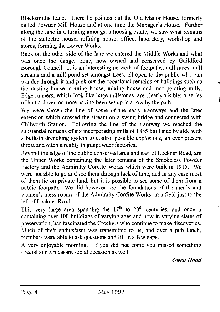**Blacksmiths Lane. There he pointed out the Old Manor House, formerly called Powder Mill House and at one time the Manager's House. Further along the lane in a turning amongst a housing estate, we saw what remains of the saltpetre house, refining house, office, laboratory, workshop and stores, forming the Lower Works.**

**Back on the other side of the lane we entered the Middle Works and what was once the danger zone, now owned and conserved by Guildford Borough Council. It is an interesting network of footpaths, mill races, mill streams and a mill pond set amongst trees, all open to the public who can wander through it and pick out the occasional remains of buildings such as the dusting house, corning house, mixing house and incorporating mills. Edge runners, which look like huge millstones, are clearly visible; a series of half a dozen or more having been set up in a row by the path.**

**We were shown the line of some of the early tramways and the later extension which crossed the stream on a swing bridge and connected with Chilworth Station. Following the line of the tramway we reached the substantial remains of six incorporating mills of 1885 built side by side with a built-in drenching system to control possible explosions; an ever present threat and often a reality in gunpowder factories.**

**Beyond the edge of the public conserved area and east of Lockner Road, are the Upper Works containing the later remains of the Smokeless Powder Factory and the Admiralty Cordite Works which were built in 1915. We were not able to go and see them through lack of time, and in any case most of them lie on private land, but it is possible to see some of them from a public footpath. We did however see the foundations of the men's and women's mess rooms of the Admiralty Cordite Works, in a field just to the left of Lockner Road.**

This very large area spanning the  $17<sup>th</sup>$  to  $20<sup>th</sup>$  centuries, and once a **containing over 100 buildings of varying ages and now in varying states of preservation, has fascinated the Crockers who continue to make discoveries. Much of their enthusiasm was transmitted to us, and over a pub lunch, members were able to ask questions and fill in a few gaps.**

**A very enjoyable morning. If you did not come you missed something special and a pleasant social occasion as well!**

*Gwen Hoad*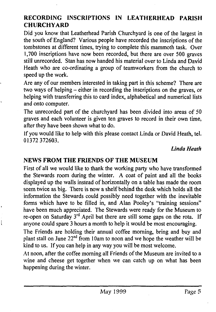# RECORDING INSCRIPTIONS IN LEATHERHEAD PARISH CHURCHYARD

**Did you know that Leatherhead Parish Churchyard is one of the largest in the south of England? Various people have recorded the inscriptions of the tombstones at different times, trying to complete this mammoth task. Over 1,700 inscriptions have now been recorded, but there are over 500 graves still unrecorded. Stan has now handed his material over to Linda and David Heath who are co-ordinating a group of teamworkers from the church to speed up the work.**

**Are any of our members interested in taking part in this scheme? There are two ways of helping - either in recording the inscriptions on the graves, or helping with transferring this to card index, alphabetical and numerical lists and onto computer.**

**The unrecorded part of the churchyard has been divided into areas of 50 graves and each volunteer is given ten graves to record in their own time, after they have been shown what to do.**

**If you would like to help with this please contact Linda or David Heath, tel. 01372 372603.**

#### *Linda Heath*

#### NEWS FROM THE FRIENDS OF THE MUSEUM

**First of all we would like to thank the working party who have transformed the Stewards room during the winter. A coat of paint and all the books displayed up the walls instead of horizontally on a table has made the room seem twice as big. There is now a shelf behind the desk which holds all the information the Stewards could possibly need together with the inevitable forms which have to be filled in, and Alan Pooley's "training sessions" have been much appreciated. The Stewards were ready for the Museum to** re-open on Saturday 3<sup>rd</sup> April but there are still some gaps on the rota. If **anyone could spare 3 hours a month to help it would be most encouraging.**

**The Friends are holding their annual coffee morning, bring and buy and plant stall on June 22nd from 10am to noon and we hope the weather will be kind to us. If you can help in any way you will be most welcome.**

**At noon, after the coffee morning all Friends of the Museum are invited to a wine and cheese get together when we can catch up on what has been happening during the winter.**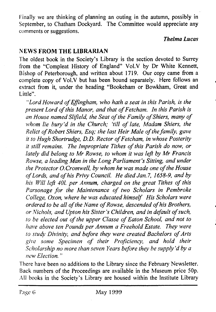**Finally we are thinking of planning an outing in the autumn, possibly in September, to Chatham Dockyard. The Committee would appreciate any comments or suggestions.**

#### *Thelma Lucas*

## NEWS FROM THE LIBRARIAN

**The oldest book in the Society's Library is the section devoted to Surrey from the "Compleat History of England" Vol.V by Dr White Kennett, Bishop of Peterborough, and written about 1719. Our copy came from a complete copy of Vol.V but has been bound separately. Here follows an extract from it, under the heading "Bookeham or Bowkham, Great and Little".**

"Lord Howard of Effingham, who hath a seat in this Parish, is the present Lord of this Manor, and that of Fetcham. In this Parish is an House named Slifield, the Seat of the Family of Shiers, many of *whom lie bury'd in the Church; 'till of late, Madam Shiers, the Relict of Robert Shiers, Esq; the last Heir Male of the family, gave it to Hugh Shortrudge, D.D. Rector of Fetcham, in whose Posterity it still remains. The Impropriate Tithes of this Parish do now, or lately did belong to Mr Rowse, to whom it was left by Mr Francis Rowse, a leading Man in the Long Parliament's Sitting, and under the Protector O. Cromwell, by whom he was made one of the House* of Lords, and of his Privy Council. He died Jan. 7, 1658-9, and by *his Will left 401. per Annum, charged on the great Tithes of this* Parsonage for the Maintenance of two Scholars in Pembroke *College, Oxon, where he was educated himself. His Scholars were ordered to be all of the Name of Rowse, descended of his Brothers, or Nichols, and Upton his Sister's Children, and in default of such. to be elected out of the upper Classe of Eaton School, and not to have above ten Pounds per Annum a Freehold Estate. They were* to study Divinity, and before they were created Bachelors of Arts give some Specimen of their Proficiency, and hold their *Scholarship no more than seven Years before they be supply 'd by a new Election. "*

**There have been no additions to the Library since the February Newsletter. Back numbers of the Proceedings are available in the Museum price 50p. All books in the Society's Library are housed within the Institute Library**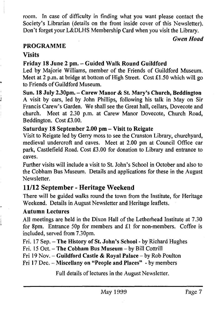room. Tn case of difficulty in finding what you want please contact the Society's Librarian (details on the front inside cover of this Newsletter). Don't forget your L&DLHS Membership Card when you visit the Library.

#### *Gwen Hoad*

#### PROGRAMME

## **Visits**

# Friday 18 June 2 pm. - Guided Walk Round Guildford

Led by Majorie Williams, member of the Friends of Guildford Museum. Meet at 2 p.m. at bridge at bottom of High Street. Cost £1.50 which will go to Friends of Guildford Museum.

Sun. 18 July 2.30pm. - Carew Manor & St. Mary's Church, Beddington A visit by cars, led by John Phillips, following his talk in May on Sir Francis Carew's Garden. We shall see the Great hall, cellars, Dovecote and church. Meet at 2.30 p.m. at Carew Manor Dovecote, Church Road, Beddington. Cost £3.00.

#### Saturday 18 September 2.00 pm - Visit to Reigate

Visit to Reigate led by Gerry moss to see the Cranston Library, churchyard, medieval undercroft and caves. Meet at 2.00 pm at Council Office car park, Castlefield Road. Cost £3.00 for donation to Library and entrance to caves.

Further visits will include a visit to St. John's School in October and also to the Cobham Bus Museum. Details and applications for these in the August Newsletter.

# **11/12 September - Heritage Weekend**

There will be guided walks round the town from the Institute, for Heritage Weekend. Details in August Newsletter and Heritage leaflets.

#### Autumn Lectures

All meetings are held in the Dixon Hall of the Letherhead Institute at 7.30 for 8pm. Entrance 50p for members and £1 for non-members. Coffee is included, served from 7.30pm.

Fri. 17 Sep. - The History of St. John's School - by Richard Hughes

Fri. 15 Oct. - The Cobham Bus Museum - by Bill Cottrill

Fri 19 Nov. - Guildford Castle & Royal Palace - by Rob Poulton

Fri 17 Dec. - Miscellany on "People and Places" - by members

Full details of lectures in the August Newsletter.